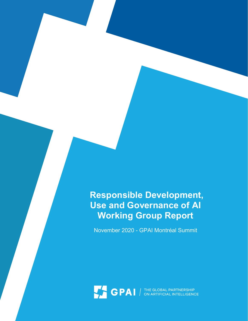# Responsible Development, Use and Governance of AI Working Group Report

November 2020 - GPAI Montréal Summit

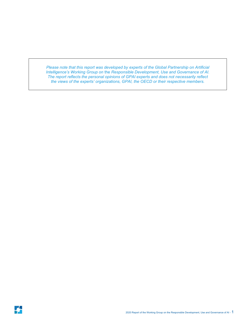Please note that this report was developed by experts of the Global Partnership on Artificial Intelligence's Working Group on the Responsible Development, Use and Governance of AI. The report reflects the personal opinions of GPAI experts and does not necessarily reflect the views of the experts' organizations, GPAI, the OECD or their respective members.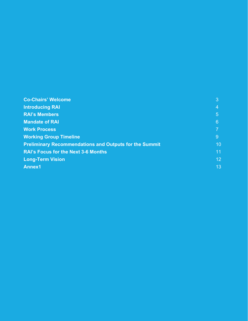| <b>Co-Chairs' Welcome</b>                                     | 3               |
|---------------------------------------------------------------|-----------------|
| <b>Introducing RAI</b>                                        | 4               |
| <b>RAI's Members</b>                                          | 5               |
| <b>Mandate of RAI</b>                                         | $6\phantom{1}6$ |
| <b>Work Process</b>                                           | 7               |
| <b>Working Group Timeline</b>                                 | 9               |
| <b>Preliminary Recommendations and Outputs for the Summit</b> | 10              |
| <b>RAI's Focus for the Next 3-6 Months</b>                    | 11              |
| <b>Long-Term Vision</b>                                       | 12 <sup>°</sup> |
| <b>Annex1</b>                                                 | 13 <sup>°</sup> |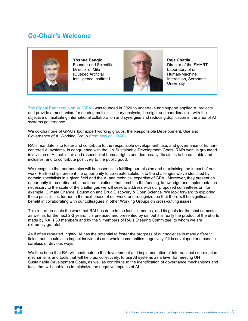### Co-Chair's Welcome



Yoshua Bengio Founder and Scientific Director of Mila (Quebec Artificial Intelligence Institute)



Raja Chatila Director of the SMART Laboratory of on Human-Machine Interaction, Sorbonne **University** 

The Global Partnership on AI (GPAI) was founded in 2020 to undertake and support applied AI projects and provide a mechanism for sharing multidisciplinary analysis, foresight and coordination—with the objective of facilitating international collaboration and synergies and reducing duplication in the area of AI systems governance.

We co-chair one of GPAI's four expert working groups, the Responsible Development, Use and Governance of AI Working Group (from now on, "RAI").

RAI's mandate is to foster and contribute to the responsible development, use, and governance of humancentered AI systems, in congruence with the UN Sustainable Development Goals. RAI's work is grounded in a vision of AI that is fair and respectful of human rights and democracy. Its aim is to be equitable and inclusive, and to contribute positively to the public good.

We recognize that partnerships will be essential in fulfilling our mission and maximising the impact of our work. Partnerships present the opportunity to co-create solutions to the challenges we've identified by domain specialists in a given field and the AI and technical expertise of GPAI. Moreover, they present an opportunity for coordinated, structured solutions that combine the funding, knowledge and implementation necessary to the scale of the challenges we will seek to address with our proposed committees on, for example, Climate Change, Education and Drug Discovery & Open Science. We look forward to exploring those possibilities further in the next phase of our work, and recognize too that there will be significant benefit in collaborating with our colleagues in other Working Groups on cross-cutting issues.

This report presents the work that RAI has done in the last six months, and its goals for the next semester as well as for the next 2-3 years. It is prefaced and presented by us, but it is really the product of the efforts made by RAI's 30 members and by the 9 members of RAI's Steering Committee, to whom we are extremely grateful.

As if often repeated, rightly, AI has the potential to foster the progress of our societies in many different fields, but it could also impact individuals and whole communities negatively if it is developed and used in careless or devious ways.

We thus hope that RAI will contribute to the development and implementation of international coordination mechanisms and tools that will help us, collectively, to use AI systems as a lever for meeting UN Sustainable Development Goals, as well as contribute to the identification of governance mechanisms and tools that will enable us to minimize the negative impacts of AI.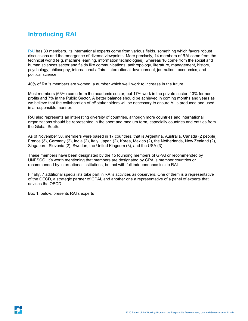# Introducing RAI

RAI has 30 members. Its international experts come from various fields, something which favors robust discussions and the emergence of diverse viewpoints. More precisely, 14 members of RAI come from the technical world (e.g. machine learning, information technologies), whereas 16 come from the social and human sciences sector and fields like communications, anthropology, literature, management, history, psychology, philosophy, international affairs, international development, journalism, economics, and political science.

40% of RAI's members are women, a number which we'll work to increase in the future.

Most members (63%) come from the academic sector, but 17% work in the private sector, 13% for nonprofits and 7% in the Public Sector. A better balance should be achieved in coming months and years as we believe that the collaboration of all stakeholders will be necessary to ensure AI is produced and used in a responsible manner.

RAI also represents an interesting diversity of countries, although more countries and international organizations should be represented in the short and medium term, especially countries and entities from the Global South.

As of November 30, members were based in 17 countries, that is Argentina, Australia, Canada (2 people), France (3), Germany (2), India (2), Italy, Japan (2), Korea, Mexico (2), the Netherlands, New Zealand (2), Singapore, Slovenia (2), Sweden, the United Kingdom (3), and the USA (3).

These members have been designated by the 15 founding members of GPAI or recommended by UNESCO. It's worth mentioning that members are designated by GPAI's member countries or recommended by international institutions, but act with full independence inside RAI.

Finally, 7 additional specialists take part in RAI's activities as observers. One of them is a representative of the OECD, a strategic partner of GPAI, and another one a representative of a panel of experts that advises the OECD.

Box 1, below, presents RAI's experts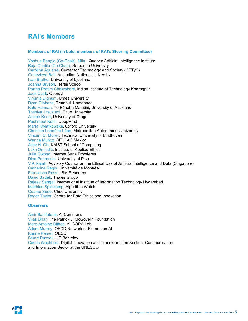### RAI's Members

#### Members of RAI (in bold, members of RAI's Steering Committee)

Yoshua Bengio (Co-Chair), Mila - Quebec Artificial Intelligence Institute Raja Chatila (Co-Chair), Sorbonne University Carolina Aguerre, Center for Technology and Society (CETyS) Genevieve Bell, Australian National University Ivan Bratko, University of Ljubljana Joanna Bryson, Hertie School Partha Pratim Chakrabarti, Indian Institute of Technology Kharagpur Jack Clark, OpenAI Virginia Dignum, Umeå University Dyan Gibbens, Trumbull Unmanned Kate Hannah, Te Pūnaha Matatini, University of Auckland Toshiya Jitsuzumi, Chuo University Alistair Knott, University of Otago Pushmeet Kohli, DeepMind Marta Kwiatkowska, Oxford University Christian Lemaître Léon, Metropolitan Autonomous University Vincent C. Müller, Technical University of Eindhoven Wanda Muñoz, SEHLAC Mexico Alice H. Oh, KAIST School of Computing Luka Omladič, Institute of Applied Ethics Julie Owono, Internet Sans Frontières Dino Pedreschi, University of Pisa V K Rajah, Advisory Council on the Ethical Use of Artificial Intelligence and Data (Singapore) Catherine Régis, Université de Montréal Francesca Rossi, IBM Research David Sadek, Thales Group Rajeev Sangal, International Institute of Information Technology Hyderabad Matthias Spielkamp, Algorithm Watch Osamu Sudo, Chuo University Roger Taylor, Centre for Data Ethics and Innovation

#### **Observers**

Amir Banifatemi, AI Commons Vilas Dhar, The Patrick J. McGovern Foundation Marc-Antoine Dilhac, ALGORA Lab Adam Murray, OECD Network of Experts on AI Karine Perset, OECD Stuart Russell, UC Berkeley Cédric Wachholz, Digital Innovation and Transformation Section, Communication and Information Sector at the UNESCO

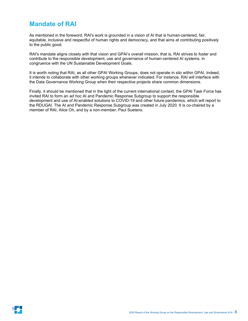### Mandate of RAI

As mentioned in the foreword, RAI's work is grounded in a vision of AI that is human-centered, fair, equitable, inclusive and respectful of human rights and democracy, and that aims at contributing positively to the public good.

RAI's mandate aligns closely with that vision and GPAI's overall mission, that is, RAI strives to foster and contribute to the responsible development, use and governance of human-centered AI systems, in congruence with the UN Sustainable Development Goals.

It is worth noting that RAI, as all other GPAI Working Groups, does not operate in silo within GPAI. Indeed, it intends to collaborate with other working groups whenever indicated. For instance, RAI will interface with the Data Governance Working Group when their respective projects share common dimensions.

Finally, it should be mentioned that in the light of the current international context, the GPAI Task Force has invited RAI to form an ad hoc AI and Pandemic Response Subgroup to support the responsible development and use of AI-enabled solutions to COVID-19 and other future pandemics, which will report to the RDUGAI. The AI and Pandemic Response Subgroup was created in July 2020. It is co-chaired by a member of RAI, Alice Oh, and by a non-member, Paul Suetens.

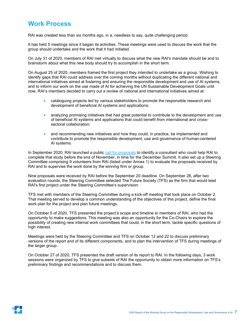### Work Process

RAI was created less than six months ago, in a, needless to say, quite challenging period.

It has held 5 meetings since it began its activities. These meetings were used to discuss the work that the group should undertake and the work that it had initiated.

On July 31 of 2020, members of RAI met virtually to discuss what the new RAI's mandate should be and to brainstorm about what this new body should try to accomplish in the short term.

On August 25 of 2020, members framed the first project they intended to undertake as a group. Wishing to identify gaps that RAI could address over the coming months without duplicating the different national and international initiatives aimed at fostering and ensuring the responsible development and use of AI systems, and to inform our work on the use made of AI for achieving the UN Sustainable Development Goals until now, RAI's members decided to carry out a review of national and international initiatives aimed at:

- cataloguing projects led by various stakeholders to promote the responsible research and development of beneficial AI systems and applications;
- analyzing promising initiatives that had great potential to contribute to the development and use of beneficial AI systems and applications that could benefit from international and crosssectoral collaboration;
- and recommending new initiatives and how they could, in practice, be implemented and contribute to promote the responsible development, use and governance of human-centered AI systems.

In September 2020, RAI launched a public call for proposals to identify a consultant who could help RAI to complete that study before the end of November, in time for the December Summit. It also set up a Steering Committee comprising 9 volunteers from RAI (listed under Annex 1) to evaluate the proposals received by RAI and to supervise the work done by the winning firm or group.

Nine proposals were received by RAI before the September 20 deadline. On September 28, after two evaluation rounds, the Steering Committee selected The Future Society (TFS) as the firm that would lead RAI's first project under the Steering Committee's supervision.

TFS met with members of the Steering Committee during a kick-off meeting that took place on October 2. That meeting served to develop a common understanding of the objectives of this project, define the final work plan for the project and plan future meetings.

On October 5 of 2020, TFS presented the project's scope and timeline to members of RAI, who had the opportunity to make suggestions. This meeting was also an opportunity for the Co-Chairs to explore the possibility of creating new internal work committees that could, in the short term, tackle specific questions of high interest.

Meetings were held by the Steering Committee and TFS on October 12 and 22 to discuss preliminary versions of the report and of its different components, and to plan the intervention of TFS during meetings of the larger group.

On October 27 of 2020, TFS presented the draft version of its report to RAI. In the following days, 3 work sessions were organized by TFS to give subsets of RAI the opportunity to obtain more information on TFS's preliminary findings and recommendations and to discuss them.

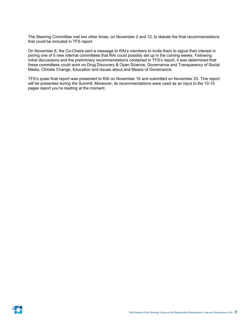The Steering Committee met two other times, on November 2 and 12, to debate the final recommendations that could be included in TFS report.

On November 8, the Co-Chairs sent a message to RAI's members to invite them to signal their interest in joining one of 5 new internal committees that RAI could possibly set up in the coming weeks. Following initial discussions and the preliminary recommendations contained in TFS's report, it was determined that these committees could work on Drug Discovery & Open Science, Governance and Transparency of Social Media, Climate Change, Education and Issues about and Means of Governance.

TFS's quasi final report was presented to RAI on November 16 and submitted on November 23. This report will be presented during the Summit. Moreover, its recommendations were used as an input to the 10-15 pages report you're reading at the moment.

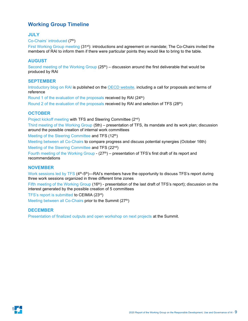### Working Group Timeline

#### **JULY**

#### Co-Chairs' introduced (7th)

First Working Group meeting (31st): introductions and agreement on mandate; The Co-Chairs invited the members of RAI to inform them if there were particular points they would like to bring to the table.

#### AUGUST

Second meeting of the Working Group  $(25<sup>th</sup>)$  – discussion around the first deliverable that would be produced by RAI

#### **SEPTEMBER**

Introductory blog on RAI is published on the OECD website, including a call for proposals and terms of reference

Round 1 of the evaluation of the proposals received by RAI (24<sup>th</sup>) Round 2 of the evaluation of the proposals received by RAI and selection of TFS (28<sup>th</sup>)

#### **OCTOBER**

Project kickoff meeting with TFS and Steering Committee (2nd)

Third meeting of the Working Group (5th) – presentation of TFS, its mandate and its work plan; discussion around the possible creation of internal work committees

Meeting of the Steering Committee and TFS (12<sup>th</sup>)

Meeting between all Co-Chairs to compare progress and discuss potential synergies (October 16th) Meeting of the Steering Committee and TFS (22nd)

Fourth meeting of the Working Group -  $(27<sup>th</sup>)$  – presentation of TFS's first draft of its report and recommendations

#### NOVEMBER

Work sessions led by TFS (4<sup>th</sup>-5<sup>th</sup>)—RAI's members have the opportunity to discuss TFS's report during three work sessions organized in three different time zones

Fifth meeting of the Working Group (16<sup>th</sup>) - presentation of the last draft of TFS's report); discussion on the interest generated by the possible creation of 5 committees

TFS's report is submitted to CEIMIA (23rd)

Meeting between all Co-Chairs prior to the Summit (27<sup>th</sup>)

#### **DECEMBER**

Presentation of finalized outputs and open workshop on next projects at the Summit.

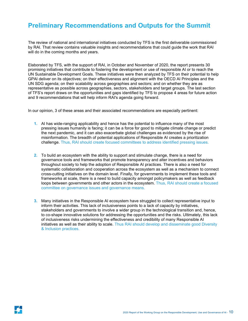### Preliminary Recommendations and Outputs for the Summit

The review of national and international initiatives conducted by TFS is the first deliverable commissioned by RAI. That review contains valuable insights and recommendations that could guide the work that RAI will do in the coming months and years.

Elaborated by TFS, with the support of RAI, in October and November of 2020, the report presents 30 promising initiatives that contribute to fostering the development or use of responsible AI or to reach the UN Sustainable Development Goals. These initiatives were then analyzed by TFS on their potential to help GPAI deliver on its objectives; on their effectiveness and alignment with the OECD AI Principles and the UN SDG agenda; on their scalability across geographies and sectors; and on whether they are as representative as possible across geographies, sectors, stakeholders and target groups. The last section of TFS's report draws on the opportunities and gaps identified by TFS to propose 4 areas for future action and 9 recommendations that will help inform RAI's agenda going forward.

In our opinion, 3 of these areas and their associated recommendations are especially pertinent:

- 1. AI has wide-ranging applicability and hence has the potential to influence many of the most pressing issues humanity is facing; it can be a force for good to mitigate climate change or predict the next pandemic, and it can also exacerbate global challenges as evidenced by the rise of misinformation. The breadth of potential applications of Responsible AI creates a prioritization challenge. Thus, RAI should create focused committees to address identified pressing issues.
- 2. To build an ecosystem with the ability to support and stimulate change, there is a need for governance tools and frameworks that promote transparency and alter incentives and behaviors throughout society to help the adoption of Responsible AI practices. There is also a need for systematic collaboration and cooperation across the ecosystem as well as a mechanism to connect cross-cutting initiatives on the domain level. Finally, for governments to implement these tools and frameworks at scale, there is a need to build capacity amongst policymakers as well as feedback loops between governments and other actors in the ecosystem. Thus, RAI should create a focused committee on governance issues and governance means.
- 3. Many initiatives in the Responsible AI ecosystem have struggled to collect representative input to inform their activities. This lack of inclusiveness points to a lack of capacity by initiatives, stakeholders and governments to involve a wider group in the technological transition and, hence, to co-shape innovative solutions for addressing the opportunities and the risks. Ultimately, this lack of inclusiveness risks undermining the effectiveness and credibility of many Responsible AI initiatives as well as their ability to scale. Thus RAI should develop and disseminate good Diversity & Inclusion practices.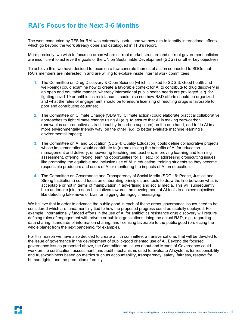# RAI's Focus for the Next 3-6 Months

The work conducted by TFS for RAI was extremely useful, and we now aim to identify international efforts which go beyond the work already done and catalogued in TFS's report.

More precisely, we wish to focus on areas where current market structure and current government policies are insufficient to achieve the goals of the UN on Sustainable Development (SDGs) or other key objectives.

To achieve this, we have decided to focus on a few concrete themes of action connected to SDGs that RAI's members are interested in and are willing to explore inside internal work committees :

- 1. The Committee on Drug Discovery & Open Science (which is linked to SDG 3: Good health and well-being) could examine how to create a favorable context for AI to contribute to drug discovery in an open and equitable manner, whereby international public health needs are privileged, e.g. for fighting covid-19 or antibiotics resistance. It could also see how R&D efforts should be organized and what the rules of engagement should be to ensure licensing of resulting drugs is favorable to poor and contributing countries;
- 2. The Committee on Climate Change (SDG 13: Climate action) could elaborate practical collaborative approaches to fight climate change using AI (e.g. to ensure that AI is making zero-carbon renewables as productive as traditional hydrocarbon suppliers) on the one hand, and to do AI in a more environmentally friendly way, on the other (e.g. to better evaluate machine learning's environmental impact);
- 3. The Committee on AI and Education (SDG 4: Quality Education) could define collaborative projects whose implementation would contribute to (a) maximizing the benefits of AI for education management and delivery, empowering teaching and teachers, improving learning and learning assessment, offering lifelong learning opportunities for all, etc.; (b) addressing crosscutting issues like promoting the equitable and inclusive use of AI in education, training students so they become responsible producers and users of AI or monitoring the impacts of AI on education.
- 4. The Committee on Governance and Transparency of Social Media (SDG 16: Peace, Justice and Strong Institutions) could focus on elaborating principles and tools to draw the line between what is acceptable or not in terms of manipulation in advertising and social media. This will subsequently help undertake joint research initiatives towards the development of AI tools to achieve objectives like detecting fake news or bias, or flagging demagogic messaging.

We believe that in order to advance the public good in each of these areas, governance issues need to be considered which are fundamentally tied to how the proposed progress could be usefully deployed. For example, internationally funded efforts in the use of AI for antibiotics resistance drug discovery will require defining rules of engagement with private or public organizations doing the actual R&D, e.g., regarding data sharing, standards of information sharing, and licensing favorable to the public good (protecting the whole planet from the next pandemic, for example).

For this reason we have also decided to create a fifth committee, a transversal one, that will be devoted to the issue of governance in the development of public-good oriented use of AI. Beyond the focused governance issues presented above, the Committee on Issues about and Means of Governance could work on the certification, assessment, and audit mechanisms used to evaluate AI systems for responsibility and trustworthiness based on metrics such as accountability, transparency, safety, fairness, respect for human rights, and the promotion of equity.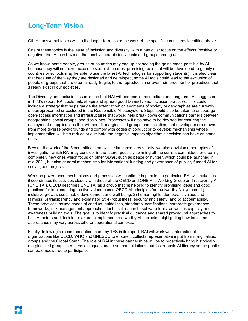# Long-Term Vision

Other transversal topics will, in the longer term, color the work of the specific committees identified above.

One of these topics is the issue of inclusion and diversity, with a particular focus on the effects (positive or negative) that AI can have on the most vulnerable individuals and groups among us.

As we know, some people, groups or countries may end up not seeing the gains made possible by AI because they will not have access to some of the most promising tools that will be developed (e.g. only rich countries or schools may be able to use the latest AI technologies for supporting students). It is also clear that because of the way they are designed and developed, some AI tools could lead to the exclusion of people or groups that are often already fragile, to the reproduction or even reinforcement of prejudices that already exist in our societies.

The Diversity and Inclusion issue is one that RAI will address in the medium and long term. As suggested in TFS's report, RAI could help shape and spread good Diversity and Inclusion practices. This could include a strategy that helps gauge the extent to which segments of society or geographies are currently underrepresented or excluded in the Responsible AI ecosystem. Steps could also be taken to encourage open-access information and infrastructures that would help break down communications barriers between geographies, social groups, and disciplines. Processes will also have to be devised for ensuring the deployment of applications that will benefit marginalized groups and societies, that developers are drawn from more diverse backgrounds and comply with codes of conduct or to develop mechanisms whose implementation will help reduce or eliminate the negative impacts algorithmic decision can have on some of us.

Beyond the work of the 5 committees that will be launched very shortly, we also envision other topics of investigation which RAI may consider in the future, possibly spinning off the current committees or creating completely new ones which focus on other SDGs, such as peace or hunger, which could be launched in mid-2021, but also general mechanisms for international funding and governance of publicly funded AI for social good projects.

Work on governance mechanisms and processes will continue in parallel. In particular, RAI will make sure it coordinates its activities closely with those of the OECD and ONE AI's Working Group on Trustworthy AI (ONE TAI). OECD describes ONE TAI as a group that "is helping to identify promising ideas and good practices for implementing the five values-based OECD AI principles for trustworthy AI systems: 1) inclusive growth, sustainable development and well-being; 2) human rights, democratic values and fairness; 3) transparency and explainability; 4) robustness, security and safety; and 5) accountability. These practices include codes of conduct, guidelines, standards, certifications, corporate governance frameworks, risk management approaches, technical research, software tools, as well as capacity and awareness building tools. The goal is to identify practical guidance and shared procedural approaches to help AI actors and decision-makers to implement trustworthy AI, including highlighting how tools and approaches may vary across different operational contexts."

Finally, following a recommendation made by TFS in its report, RAI will work with international organizations like OECD, WHO and UNESCO to ensure it collects representative input from marginalized groups and the Global South. The role of RAI in these partnerships will be to proactively bring historically marginalized groups into these dialogues and to support initiatives that foster basic AI literacy so the public can be empowered to participate.